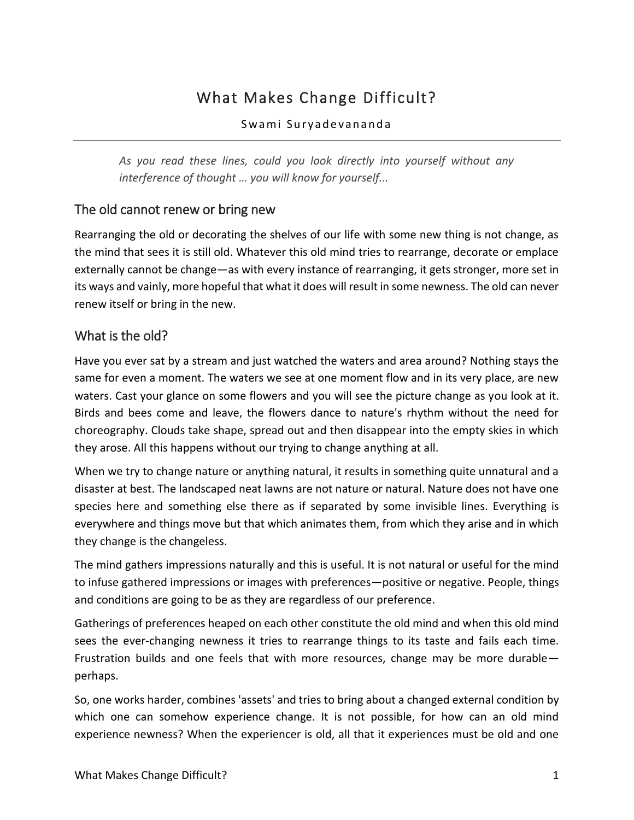# What Makes Change Difficult?

#### Swami Suryadevananda

*As you read these lines, could you look directly into yourself without any interference of thought … you will know for yourself...*

#### The old cannot renew or bring new

Rearranging the old or decorating the shelves of our life with some new thing is not change, as the mind that sees it is still old. Whatever this old mind tries to rearrange, decorate or emplace externally cannot be change—as with every instance of rearranging, it gets stronger, more set in its ways and vainly, more hopeful that what it does will result in some newness. The old can never renew itself or bring in the new.

#### What is the old?

Have you ever sat by a stream and just watched the waters and area around? Nothing stays the same for even a moment. The waters we see at one moment flow and in its very place, are new waters. Cast your glance on some flowers and you will see the picture change as you look at it. Birds and bees come and leave, the flowers dance to nature's rhythm without the need for choreography. Clouds take shape, spread out and then disappear into the empty skies in which they arose. All this happens without our trying to change anything at all.

When we try to change nature or anything natural, it results in something quite unnatural and a disaster at best. The landscaped neat lawns are not nature or natural. Nature does not have one species here and something else there as if separated by some invisible lines. Everything is everywhere and things move but that which animates them, from which they arise and in which they change is the changeless.

The mind gathers impressions naturally and this is useful. It is not natural or useful for the mind to infuse gathered impressions or images with preferences—positive or negative. People, things and conditions are going to be as they are regardless of our preference.

Gatherings of preferences heaped on each other constitute the old mind and when this old mind sees the ever-changing newness it tries to rearrange things to its taste and fails each time. Frustration builds and one feels that with more resources, change may be more durable perhaps.

So, one works harder, combines 'assets' and tries to bring about a changed external condition by which one can somehow experience change. It is not possible, for how can an old mind experience newness? When the experiencer is old, all that it experiences must be old and one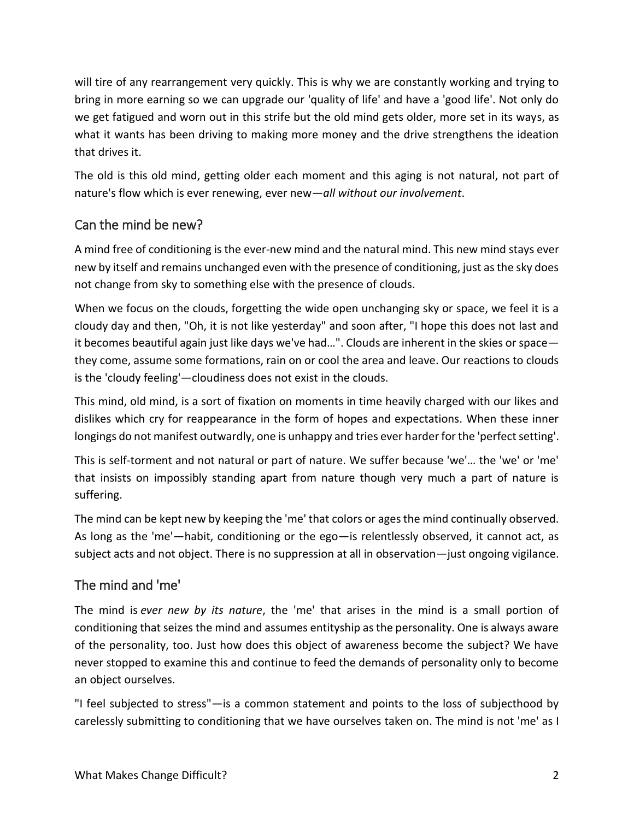will tire of any rearrangement very quickly. This is why we are constantly working and trying to bring in more earning so we can upgrade our 'quality of life' and have a 'good life'. Not only do we get fatigued and worn out in this strife but the old mind gets older, more set in its ways, as what it wants has been driving to making more money and the drive strengthens the ideation that drives it.

The old is this old mind, getting older each moment and this aging is not natural, not part of nature's flow which is ever renewing, ever new—*all without our involvement*.

# Can the mind be new?

A mind free of conditioning is the ever-new mind and the natural mind. This new mind stays ever new by itself and remains unchanged even with the presence of conditioning, just as the sky does not change from sky to something else with the presence of clouds.

When we focus on the clouds, forgetting the wide open unchanging sky or space, we feel it is a cloudy day and then, "Oh, it is not like yesterday" and soon after, "I hope this does not last and it becomes beautiful again just like days we've had…". Clouds are inherent in the skies or space they come, assume some formations, rain on or cool the area and leave. Our reactions to clouds is the 'cloudy feeling'—cloudiness does not exist in the clouds.

This mind, old mind, is a sort of fixation on moments in time heavily charged with our likes and dislikes which cry for reappearance in the form of hopes and expectations. When these inner longings do not manifest outwardly, one is unhappy and tries ever harder for the 'perfect setting'.

This is self-torment and not natural or part of nature. We suffer because 'we'… the 'we' or 'me' that insists on impossibly standing apart from nature though very much a part of nature is suffering.

The mind can be kept new by keeping the 'me' that colors or ages the mind continually observed. As long as the 'me'—habit, conditioning or the ego—is relentlessly observed, it cannot act, as subject acts and not object. There is no suppression at all in observation—just ongoing vigilance.

# The mind and 'me'

The mind is *ever new by its nature*, the 'me' that arises in the mind is a small portion of conditioning that seizes the mind and assumes entityship as the personality. One is always aware of the personality, too. Just how does this object of awareness become the subject? We have never stopped to examine this and continue to feed the demands of personality only to become an object ourselves.

"I feel subjected to stress"—is a common statement and points to the loss of subjecthood by carelessly submitting to conditioning that we have ourselves taken on. The mind is not 'me' as I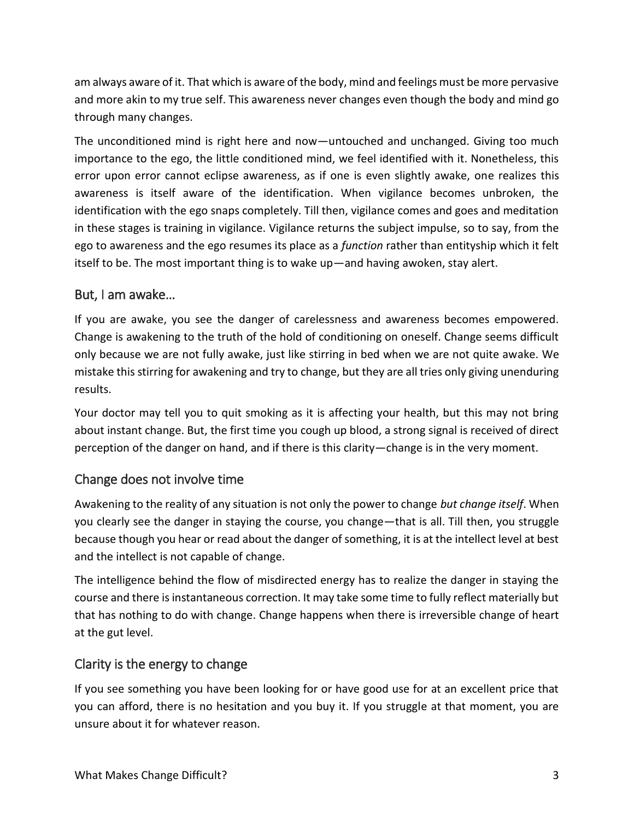am always aware of it. That which is aware of the body, mind and feelings must be more pervasive and more akin to my true self. This awareness never changes even though the body and mind go through many changes.

The unconditioned mind is right here and now—untouched and unchanged. Giving too much importance to the ego, the little conditioned mind, we feel identified with it. Nonetheless, this error upon error cannot eclipse awareness, as if one is even slightly awake, one realizes this awareness is itself aware of the identification. When vigilance becomes unbroken, the identification with the ego snaps completely. Till then, vigilance comes and goes and meditation in these stages is training in vigilance. Vigilance returns the subject impulse, so to say, from the ego to awareness and the ego resumes its place as a *function* rather than entityship which it felt itself to be. The most important thing is to wake up—and having awoken, stay alert.

#### But, I am awake…

If you are awake, you see the danger of carelessness and awareness becomes empowered. Change is awakening to the truth of the hold of conditioning on oneself. Change seems difficult only because we are not fully awake, just like stirring in bed when we are not quite awake. We mistake this stirring for awakening and try to change, but they are all tries only giving unenduring results.

Your doctor may tell you to quit smoking as it is affecting your health, but this may not bring about instant change. But, the first time you cough up blood, a strong signal is received of direct perception of the danger on hand, and if there is this clarity—change is in the very moment.

### Change does not involve time

Awakening to the reality of any situation is not only the power to change *but change itself*. When you clearly see the danger in staying the course, you change—that is all. Till then, you struggle because though you hear or read about the danger of something, it is at the intellect level at best and the intellect is not capable of change.

The intelligence behind the flow of misdirected energy has to realize the danger in staying the course and there is instantaneous correction. It may take some time to fully reflect materially but that has nothing to do with change. Change happens when there is irreversible change of heart at the gut level.

# Clarity is the energy to change

If you see something you have been looking for or have good use for at an excellent price that you can afford, there is no hesitation and you buy it. If you struggle at that moment, you are unsure about it for whatever reason.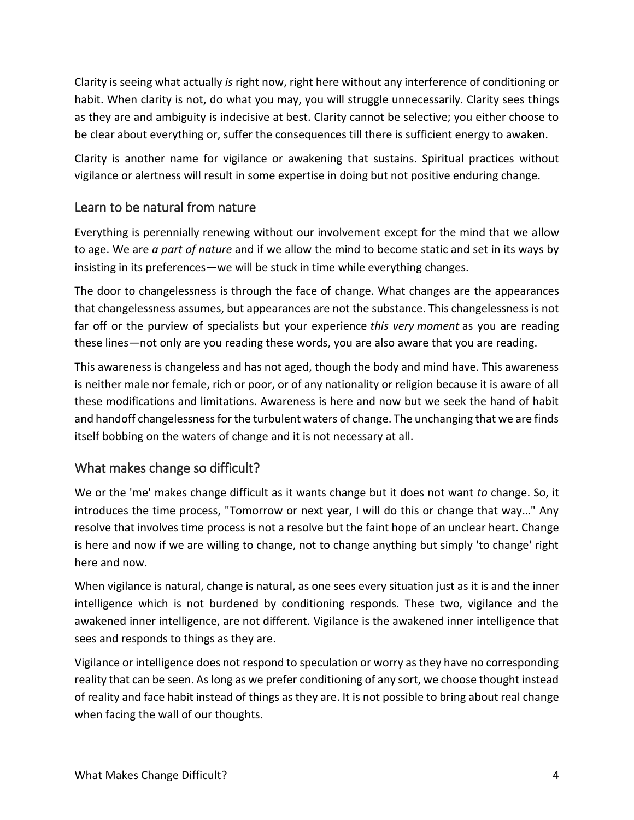Clarity is seeing what actually *is* right now, right here without any interference of conditioning or habit. When clarity is not, do what you may, you will struggle unnecessarily. Clarity sees things as they are and ambiguity is indecisive at best. Clarity cannot be selective; you either choose to be clear about everything or, suffer the consequences till there is sufficient energy to awaken.

Clarity is another name for vigilance or awakening that sustains. Spiritual practices without vigilance or alertness will result in some expertise in doing but not positive enduring change.

### Learn to be natural from nature

Everything is perennially renewing without our involvement except for the mind that we allow to age. We are *a part of nature* and if we allow the mind to become static and set in its ways by insisting in its preferences—we will be stuck in time while everything changes.

The door to changelessness is through the face of change. What changes are the appearances that changelessness assumes, but appearances are not the substance. This changelessness is not far off or the purview of specialists but your experience *this very moment* as you are reading these lines—not only are you reading these words, you are also aware that you are reading.

This awareness is changeless and has not aged, though the body and mind have. This awareness is neither male nor female, rich or poor, or of any nationality or religion because it is aware of all these modifications and limitations. Awareness is here and now but we seek the hand of habit and handoff changelessness for the turbulent waters of change. The unchanging that we are finds itself bobbing on the waters of change and it is not necessary at all.

# What makes change so difficult?

We or the 'me' makes change difficult as it wants change but it does not want *to* change. So, it introduces the time process, "Tomorrow or next year, I will do this or change that way…" Any resolve that involves time process is not a resolve but the faint hope of an unclear heart. Change is here and now if we are willing to change, not to change anything but simply 'to change' right here and now.

When vigilance is natural, change is natural, as one sees every situation just as it is and the inner intelligence which is not burdened by conditioning responds. These two, vigilance and the awakened inner intelligence, are not different. Vigilance is the awakened inner intelligence that sees and responds to things as they are.

Vigilance or intelligence does not respond to speculation or worry as they have no corresponding reality that can be seen. As long as we prefer conditioning of any sort, we choose thought instead of reality and face habit instead of things as they are. It is not possible to bring about real change when facing the wall of our thoughts.